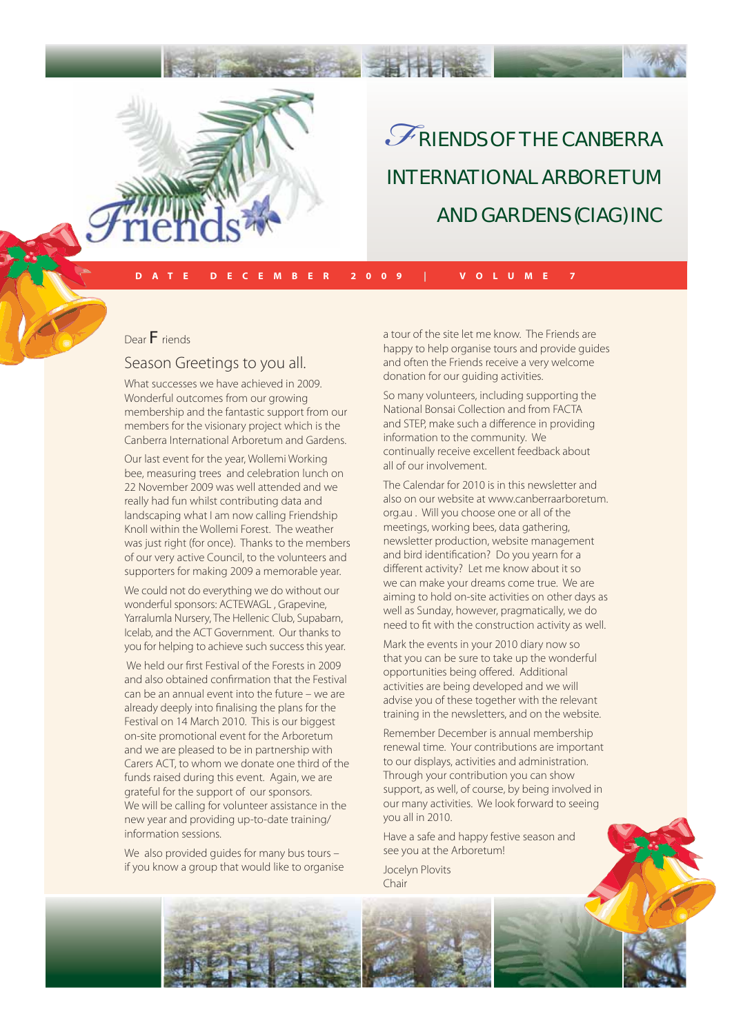

# RIENDS OF THE CANBERRA INTERNATIONAL ARBORETUM AND GARDENS (CIAG) INC *F*

**DATE DECEMBER 2009 | VOLUME 7**

Dear **F**riends

### Season Greetings to you all.

What successes we have achieved in 2009. Wonderful outcomes from our growing membership and the fantastic support from our members for the visionary project which is the Canberra International Arboretum and Gardens.

Our last event for the year, Wollemi Working bee, measuring trees and celebration lunch on 22 November 2009 was well attended and we really had fun whilst contributing data and landscaping what I am now calling Friendship Knoll within the Wollemi Forest. The weather was just right (for once). Thanks to the members of our very active Council, to the volunteers and supporters for making 2009 a memorable year.

We could not do everything we do without our wonderful sponsors: ACTEWAGL , Grapevine, Yarralumla Nursery, The Hellenic Club, Supabarn, Icelab, and the ACT Government. Our thanks to you for helping to achieve such success this year.

We held our first Festival of the Forests in 2009 and also obtained confirmation that the Festival can be an annual event into the future – we are already deeply into finalising the plans for the Festival on 14 March 2010. This is our biggest on-site promotional event for the Arboretum and we are pleased to be in partnership with Carers ACT, to whom we donate one third of the funds raised during this event. Again, we are grateful for the support of our sponsors. We will be calling for volunteer assistance in the new year and providing up-to-date training/ information sessions.

We also provided guides for many bus tours if you know a group that would like to organise a tour of the site let me know. The Friends are happy to help organise tours and provide guides and often the Friends receive a very welcome donation for our guiding activities.

So many volunteers, including supporting the National Bonsai Collection and from FACTA and STEP, make such a difference in providing information to the community. We continually receive excellent feedback about all of our involvement.

The Calendar for 2010 is in this newsletter and also on our website at www.canberraarboretum. org.au . Will you choose one or all of the meetings, working bees, data gathering, newsletter production, website management and bird identification? Do you yearn for a different activity? Let me know about it so we can make your dreams come true. We are aiming to hold on-site activities on other days as well as Sunday, however, pragmatically, we do need to fit with the construction activity as well.

Mark the events in your 2010 diary now so that you can be sure to take up the wonderful opportunities being offered. Additional activities are being developed and we will advise you of these together with the relevant training in the newsletters, and on the website.

Remember December is annual membership renewal time. Your contributions are important to our displays, activities and administration. Through your contribution you can show support, as well, of course, by being involved in our many activities. We look forward to seeing you all in 2010.

Have a safe and happy festive season and see you at the Arboretum!

Jocelyn Plovits Chair

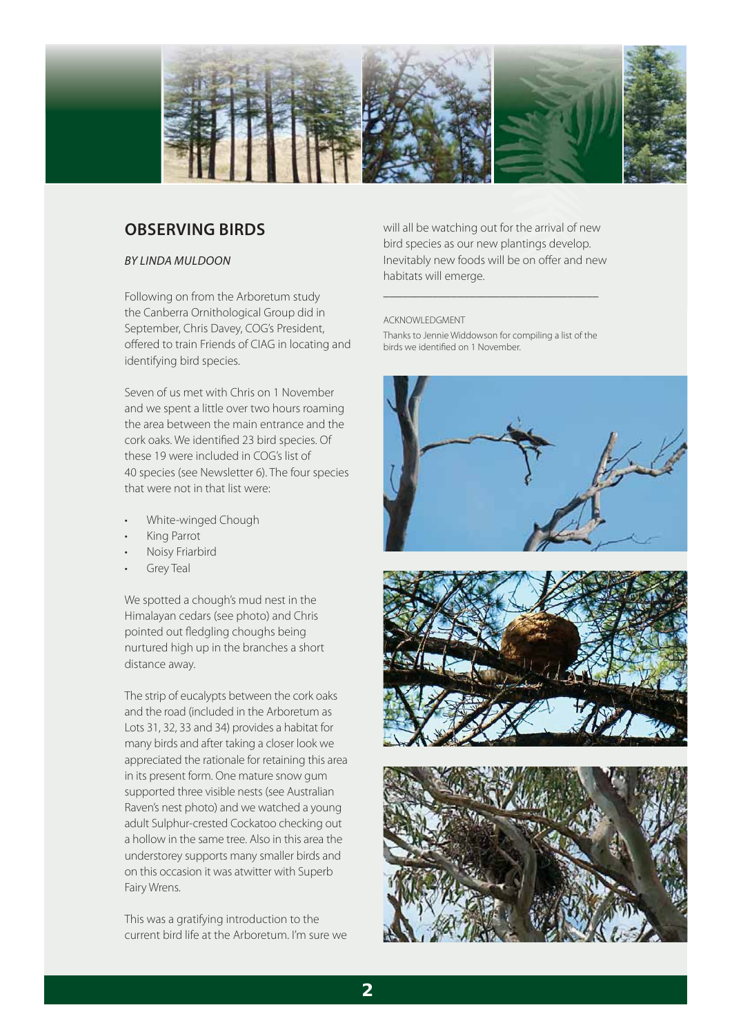

### **OBSERVING BIRDS**

### BY LINDA MULDOON

Following on from the Arboretum study the Canberra Ornithological Group did in September, Chris Davey, COG's President, offered to train Friends of CIAG in locating and identifying bird species.

Seven of us met with Chris on 1 November and we spent a little over two hours roaming the area between the main entrance and the cork oaks. We identified 23 bird species. Of these 19 were included in COG's list of 40 species (see Newsletter 6). The four species that were not in that list were:

- White-winged Chough
- King Parrot
- Noisy Friarbird
- **Grey Teal**

We spotted a chough's mud nest in the Himalayan cedars (see photo) and Chris pointed out fledgling choughs being nurtured high up in the branches a short distance away.

The strip of eucalypts between the cork oaks and the road (included in the Arboretum as Lots 31, 32, 33 and 34) provides a habitat for many birds and after taking a closer look we appreciated the rationale for retaining this area in its present form. One mature snow gum supported three visible nests (see Australian Raven's nest photo) and we watched a young adult Sulphur-crested Cockatoo checking out a hollow in the same tree. Also in this area the understorey supports many smaller birds and on this occasion it was atwitter with Superb Fairy Wrens.

This was a gratifying introduction to the current bird life at the Arboretum. I'm sure we will all be watching out for the arrival of new bird species as our new plantings develop. Inevitably new foods will be on offer and new habitats will emerge.

#### ACKNOWLEDGMENT

Thanks to Jennie Widdowson for compiling a list of the birds we identified on 1 November.

\_\_\_\_\_\_\_\_\_\_\_\_\_\_\_\_\_\_\_\_\_\_\_\_\_\_\_\_\_\_\_\_\_\_\_



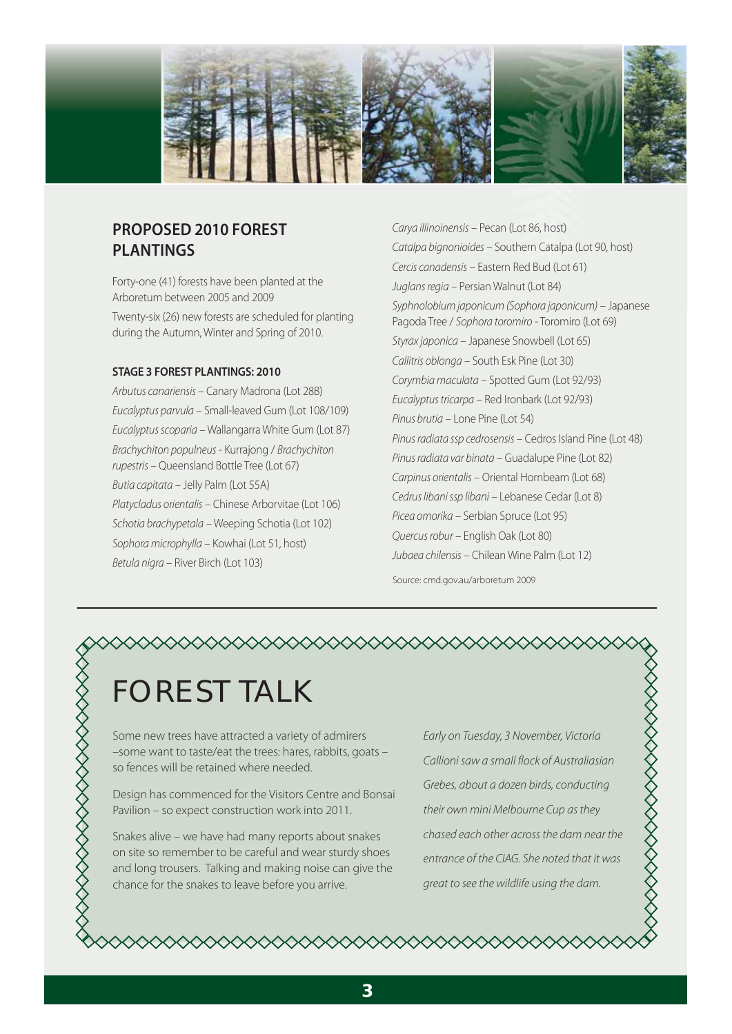

# **PROPOSED 2010 FOREST PLANTINGS**

Forty-one (41) forests have been planted at the Arboretum between 2005 and 2009 Twenty-six (26) new forests are scheduled for planting during the Autumn, Winter and Spring of 2010.

### **STAGE 3 FOREST PLANTINGS: 2010**

Arbutus canariensis – Canary Madrona (Lot 28B) Eucalyptus parvula – Small-leaved Gum (Lot 108/109) Eucalyptus scoparia – Wallangarra White Gum (Lot 87) Brachychiton populneus - Kurrajong / Brachychiton rupestris – Queensland Bottle Tree (Lot 67) Butia capitata – Jelly Palm (Lot 55A) Platycladus orientalis – Chinese Arborvitae (Lot 106) Schotia brachypetala – Weeping Schotia (Lot 102) Sophora microphylla – Kowhai (Lot 51, host) Betula nigra – River Birch (Lot 103)

Carya illinoinensis – Pecan (Lot 86, host) Catalpa bignonioides – Southern Catalpa (Lot 90, host) Cercis canadensis – Eastern Red Bud (Lot 61) Juglans regia – Persian Walnut (Lot 84) Syphnolobium japonicum (Sophora japonicum) – Japanese Pagoda Tree / Sophora toromiro - Toromiro (Lot 69) Styrax japonica – Japanese Snowbell (Lot 65) Callitris oblonga – South Esk Pine (Lot 30) Corymbia maculata – Spotted Gum (Lot 92/93) Eucalyptus tricarpa – Red Ironbark (Lot 92/93) Pinus brutia – Lone Pine (Lot 54) Pinus radiata ssp cedrosensis – Cedros Island Pine (Lot 48) Pinus radiata var binata – Guadalupe Pine (Lot 82) Carpinus orientalis – Oriental Hornbeam (Lot 68) Cedrus libani ssp libani – Lebanese Cedar (Lot 8) Picea omorika – Serbian Spruce (Lot 95) Quercus robur – English Oak (Lot 80) Jubaea chilensis – Chilean Wine Palm (Lot 12)

Source: cmd.gov.au/arboretum 2009

# $\Diamond$

# FOREST TALK

Some new trees have attracted a variety of admirers –some want to taste/eat the trees: hares, rabbits, goats – so fences will be retained where needed.

Design has commenced for the Visitors Centre and Bonsai Pavilion – so expect construction work into 2011.

Snakes alive – we have had many reports about snakes on site so remember to be careful and wear sturdy shoes and long trousers. Talking and making noise can give the chance for the snakes to leave before you arrive.

Early on Tuesday, 3 November, Victoria Callioni saw a small flock of Australiasian Grebes, about a dozen birds, conducting their own mini Melbourne Cup as they chased each other across the dam near the entrance of the CIAG. She noted that it was great to see the wildlife using the dam.

◇◇◇◇◇◇◇◇◇◇◇◇◇◇◇◇◇◇◇◇◇◇◇◇◇◇◇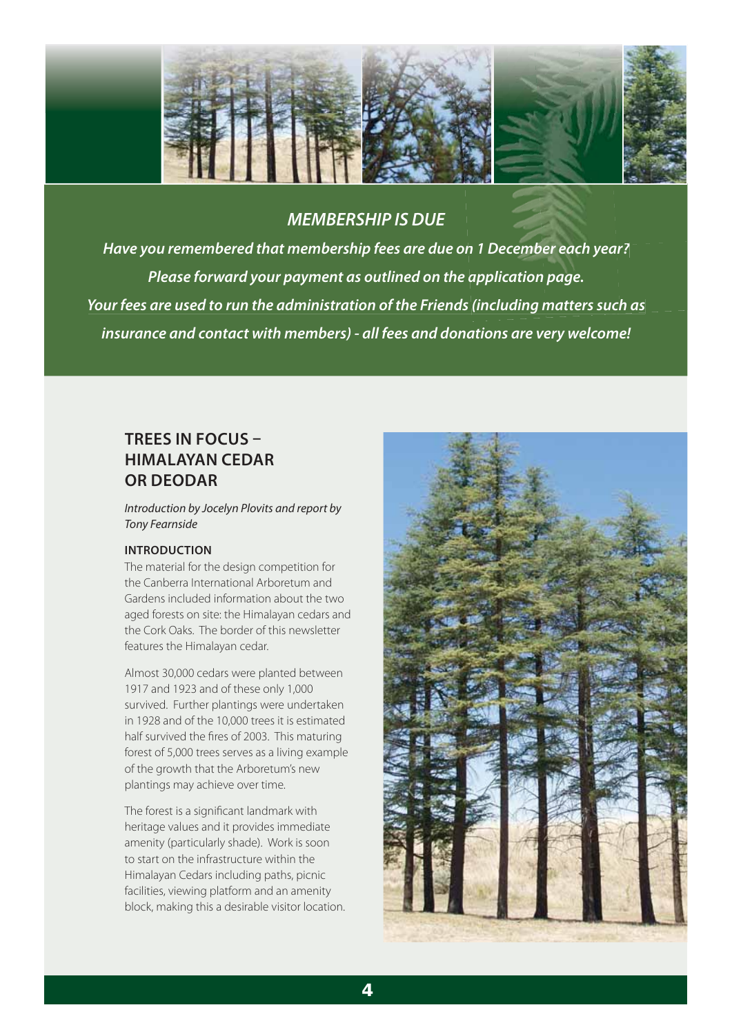

### *MEMBERSHIP IS DUE*

*Have you remembered that membership fees are due on 1 December each year? n year? Please forward your payment as outlined on the application page. Your fees are used to run the administration of the Friends (including matters such as insurance and contact with members) - all fees and donations are very welcome!*

# **TREES IN FOCUS – HIMALAYAN CEDAR OR DEODAR**

Introduction by Jocelyn Plovits and report by Tony Fearnside

### **INTRODUCTION**

The material for the design competition for the Canberra International Arboretum and Gardens included information about the two aged forests on site: the Himalayan cedars and the Cork Oaks. The border of this newsletter features the Himalayan cedar.

Almost 30,000 cedars were planted between 1917 and 1923 and of these only 1,000 survived. Further plantings were undertaken in 1928 and of the 10,000 trees it is estimated half survived the fires of 2003. This maturing forest of 5,000 trees serves as a living example of the growth that the Arboretum's new plantings may achieve over time.

The forest is a significant landmark with heritage values and it provides immediate amenity (particularly shade). Work is soon to start on the infrastructure within the Himalayan Cedars including paths, picnic facilities, viewing platform and an amenity block, making this a desirable visitor location.

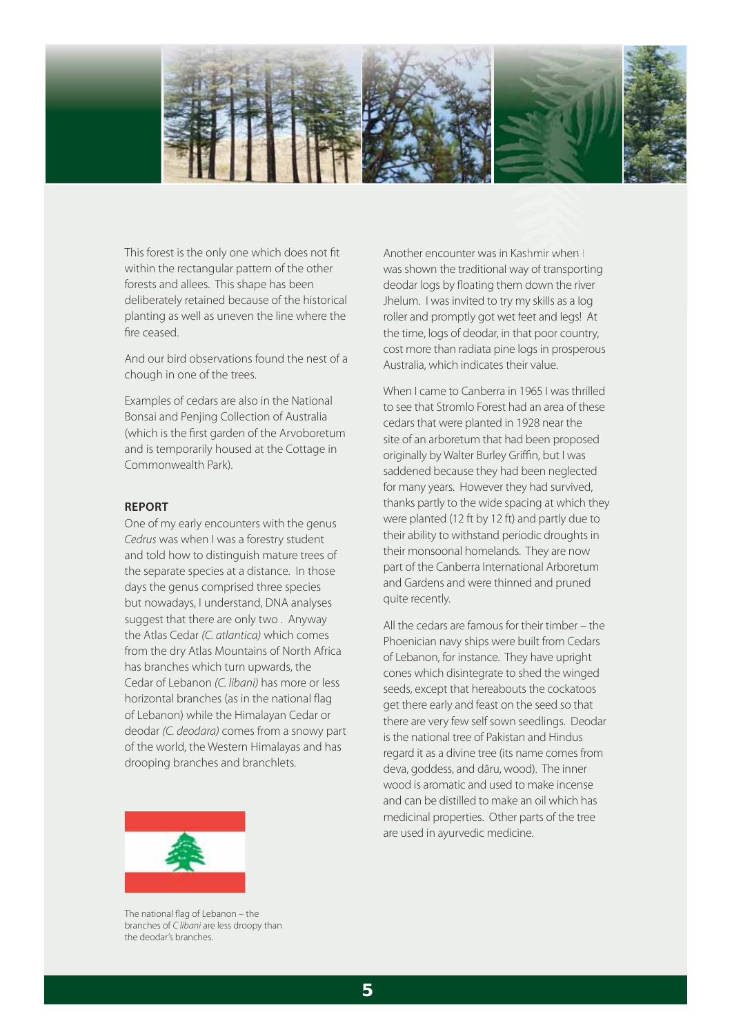

This forest is the only one which does not fit within the rectangular pattern of the other forests and allees. This shape has been deliberately retained because of the historical planting as well as uneven the line where the fire ceased.

And our bird observations found the nest of a chough in one of the trees.

Examples of cedars are also in the National Bonsai and Penjing Collection of Australia (which is the first garden of the Arvoboretum and is temporarily housed at the Cottage in Commonwealth Park).

#### **REPORT**

One of my early encounters with the genus Cedrus was when I was a forestry student and told how to distinguish mature trees of the separate species at a distance. In those days the genus comprised three species but nowadays, I understand, DNA analyses suggest that there are only two . Anyway the Atlas Cedar (C. atlantica) which comes from the dry Atlas Mountains of North Africa has branches which turn upwards, the Cedar of Lebanon (C. libani) has more or less horizontal branches (as in the national flag of Lebanon) while the Himalayan Cedar or deodar (C. deodara) comes from a snowy part of the world, the Western Himalayas and has drooping branches and branchlets.

Another encounter was in Kashmir when I was shown the traditional way of transporting deodar logs by floating them down the river Another encounter was in Kashmir when I<br>was shown the traditional way of transportin<br>deodar logs by floating them down the river<br>Jhelum. I was invited to try my skills as a log roller and promptly got wet feet and legs! At the time, logs of deodar, in that poor country, cost more than radiata pine logs in prosperous Australia, which indicates their value.

When I came to Canberra in 1965 I was thrilled to see that Stromlo Forest had an area of these cedars that were planted in 1928 near the site of an arboretum that had been proposed originally by Walter Burley Griffin, but I was saddened because they had been neglected for many years. However they had survived, thanks partly to the wide spacing at which they were planted (12 ft by 12 ft) and partly due to their ability to withstand periodic droughts in their monsoonal homelands. They are now part of the Canberra International Arboretum and Gardens and were thinned and pruned quite recently.

All the cedars are famous for their timber – the Phoenician navy ships were built from Cedars of Lebanon, for instance. They have upright cones which disintegrate to shed the winged seeds, except that hereabouts the cockatoos get there early and feast on the seed so that there are very few self sown seedlings. Deodar is the national tree of Pakistan and Hindus regard it as a divine tree (its name comes from deva, goddess, and dāru, wood). The inner wood is aromatic and used to make incense and can be distilled to make an oil which has medicinal properties. Other parts of the tree are used in ayurvedic medicine.



The national flag of Lebanon - the branches of C libani are less droopy than the deodar's branches.